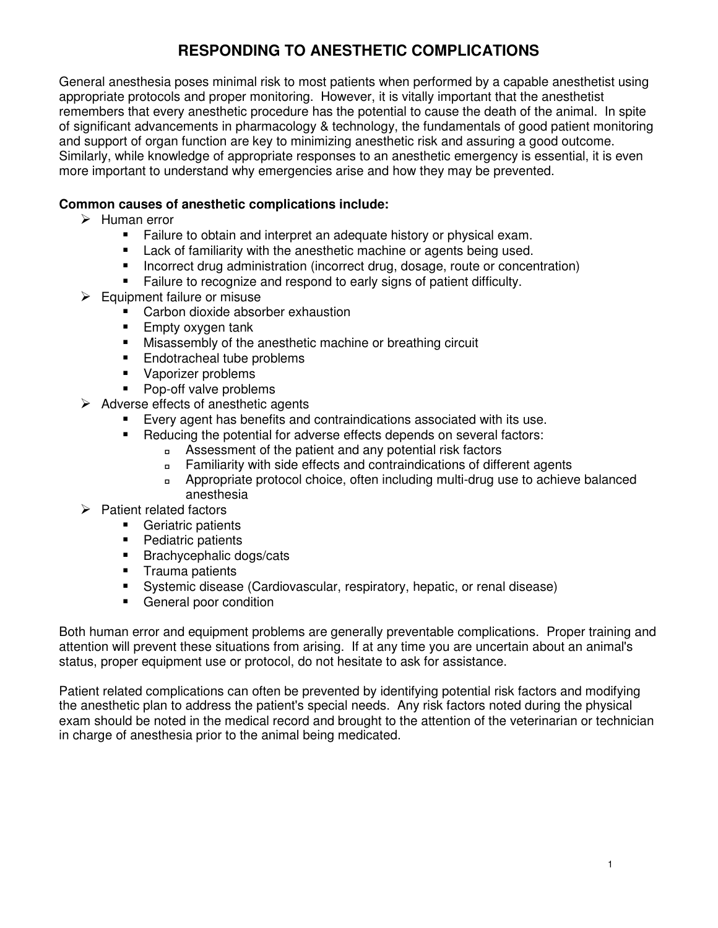# **RESPONDING TO ANESTHETIC COMPLICATIONS**

General anesthesia poses minimal risk to most patients when performed by a capable anesthetist using appropriate protocols and proper monitoring. However, it is vitally important that the anesthetist remembers that every anesthetic procedure has the potential to cause the death of the animal. In spite of significant advancements in pharmacology & technology, the fundamentals of good patient monitoring and support of organ function are key to minimizing anesthetic risk and assuring a good outcome. Similarly, while knowledge of appropriate responses to an anesthetic emergency is essential, it is even more important to understand why emergencies arise and how they may be prevented.

## **Common causes of anesthetic complications include:**

- $\triangleright$  Human error
	- Failure to obtain and interpret an adequate history or physical exam.
	- Lack of familiarity with the anesthetic machine or agents being used.
	- **IDED FINCORTER 15 Incorrect drug, dosage, route or concentration)**
	- Failure to recognize and respond to early signs of patient difficulty.
- $\triangleright$  Equipment failure or misuse
	- -Carbon dioxide absorber exhaustion
	- **Empty oxygen tank**
	- **EXECUTE:** Misassembly of the anesthetic machine or breathing circuit
	- Endotracheal tube problems
	- Vaporizer problems
	- -Pop-off valve problems
- $\triangleright$  Adverse effects of anesthetic agents
	- -Every agent has benefits and contraindications associated with its use.
	- - Reducing the potential for adverse effects depends on several factors:
		- Assessment of the patient and any potential risk factors
		- Familiarity with side effects and contraindications of different agents
		- Appropriate protocol choice, often including multi-drug use to achieve balanced anesthesia
- $\triangleright$  Patient related factors
	- **EXEC** Geriatric patients
	- **Pediatric patients**
	- **Brachycephalic dogs/cats**
	- **Trauma patients**
	- -Systemic disease (Cardiovascular, respiratory, hepatic, or renal disease)
	- **EXEC** General poor condition

Both human error and equipment problems are generally preventable complications. Proper training and attention will prevent these situations from arising. If at any time you are uncertain about an animal's status, proper equipment use or protocol, do not hesitate to ask for assistance.

Patient related complications can often be prevented by identifying potential risk factors and modifying the anesthetic plan to address the patient's special needs. Any risk factors noted during the physical exam should be noted in the medical record and brought to the attention of the veterinarian or technician in charge of anesthesia prior to the animal being medicated.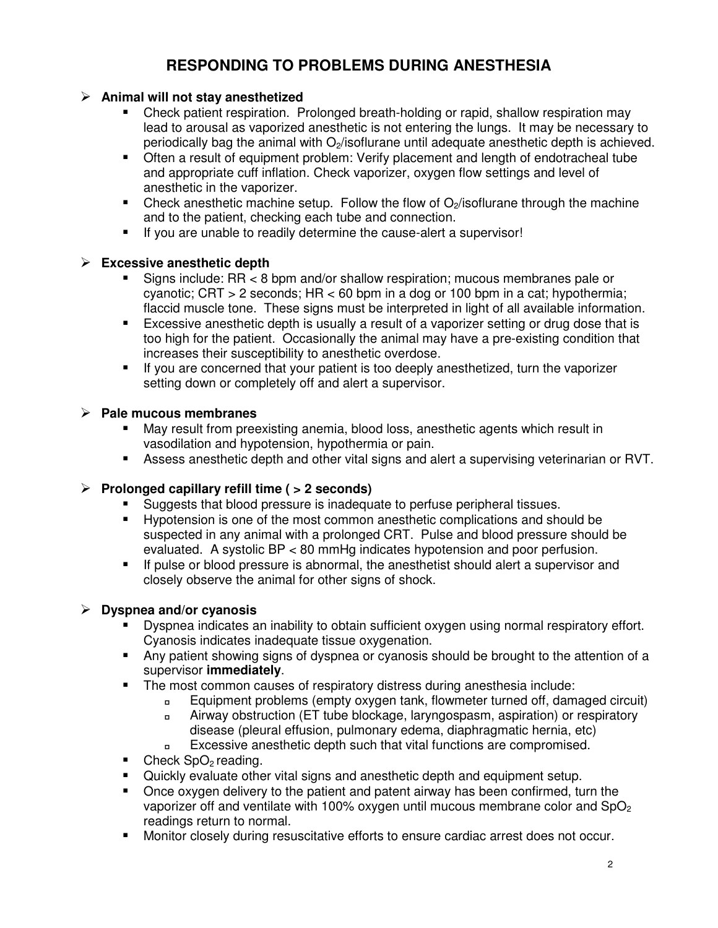# **RESPONDING TO PROBLEMS DURING ANESTHESIA**

## **Animal will not stay anesthetized**

- - Check patient respiration. Prolonged breath-holding or rapid, shallow respiration may lead to arousal as vaporized anesthetic is not entering the lungs. It may be necessary to periodically bag the animal with  $O<sub>2</sub>$  /isoflurane until adequate anesthetic depth is achieved.
- **The State of the Communist Communist Communist Communist Communist Communist Communist Communist Communist Communist Communist Communist Communist Communist Communist Communist Communist Communist Communist Communist Comm** and appropriate cuff inflation. Check vaporizer, oxygen flow settings and level of anesthetic in the vaporizer.
- $\blacksquare$  Check anesthetic machine setup. Follow the flow of O<sub>2</sub>/isoflurane through the machine and to the patient, checking each tube and connection.
- -If you are unable to readily determine the cause-alert a supervisor!

## **Excessive anesthetic depth**

- - Signs include: RR < 8 bpm and/or shallow respiration; mucous membranes pale or cyanotic; CRT  $>$  2 seconds; HR  $<$  60 bpm in a dog or 100 bpm in a cat; hypothermia; flaccid muscle tone. These signs must be interpreted in light of all available information.
- - Excessive anesthetic depth is usually a result of a vaporizer setting or drug dose that is too high for the patient. Occasionally the animal may have a pre-existing condition that increases their susceptibility to anesthetic overdose.
- - If you are concerned that your patient is too deeply anesthetized, turn the vaporizer setting down or completely off and alert a supervisor.

#### **Pale mucous membranes**

- - May result from preexisting anemia, blood loss, anesthetic agents which result in vasodilation and hypotension, hypothermia or pain.
- **Assess anesthetic depth and other vital signs and alert a supervising veterinarian or RVT.**

## **Prolonged capillary refill time ( > 2 seconds)**

- -Suggests that blood pressure is inadequate to perfuse peripheral tissues.
- - Hypotension is one of the most common anesthetic complications and should be suspected in any animal with a prolonged CRT. Pulse and blood pressure should be evaluated. A systolic BP < 80 mmHg indicates hypotension and poor perfusion.
- - If pulse or blood pressure is abnormal, the anesthetist should alert a supervisor and closely observe the animal for other signs of shock.

## **Dyspnea and/or cyanosis**

- - Dyspnea indicates an inability to obtain sufficient oxygen using normal respiratory effort. Cyanosis indicates inadequate tissue oxygenation.
- **Any patient showing signs of dyspnea or cyanosis should be brought to the attention of a** supervisor **immediately**.
- - The most common causes of respiratory distress during anesthesia include:
	- Equipment problems (empty oxygen tank, flowmeter turned off, damaged circuit)
	- Airway obstruction (ET tube blockage, laryngospasm, aspiration) or respiratory disease (pleural effusion, pulmonary edema, diaphragmatic hernia, etc)
	- Excessive anesthetic depth such that vital functions are compromised.
- $\blacksquare$  Check SpO<sub>2</sub> reading.
- -Quickly evaluate other vital signs and anesthetic depth and equipment setup.
- - Once oxygen delivery to the patient and patent airway has been confirmed, turn the vaporizer off and ventilate with 100% oxygen until mucous membrane color and  $SpO<sub>2</sub>$ readings return to normal.
- -Monitor closely during resuscitative efforts to ensure cardiac arrest does not occur.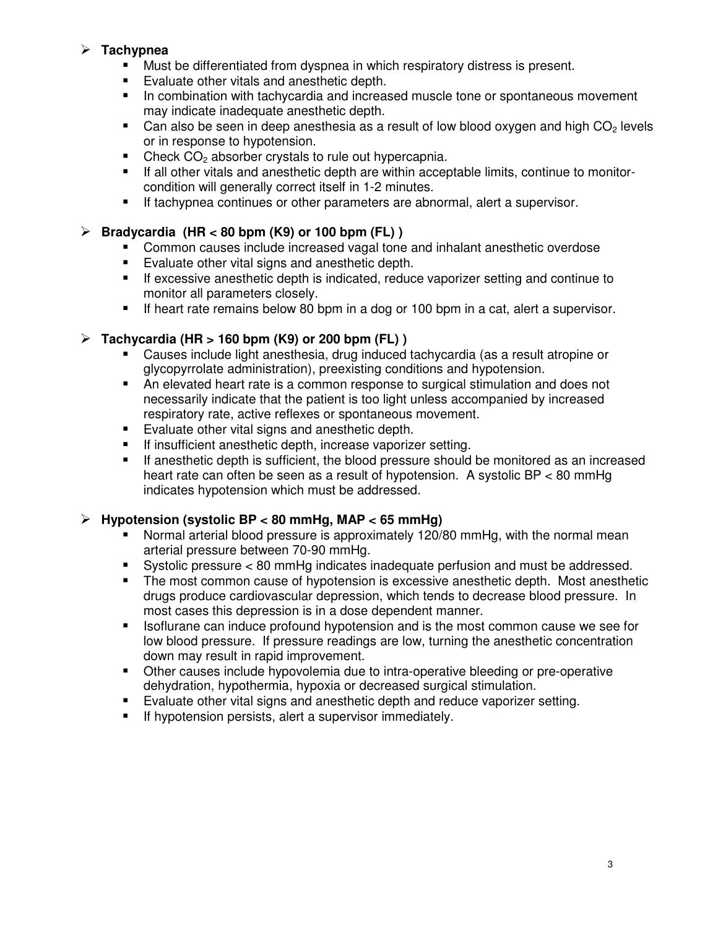## **Tachypnea**

- -Must be differentiated from dyspnea in which respiratory distress is present.
- -Evaluate other vitals and anesthetic depth.
- - In combination with tachycardia and increased muscle tone or spontaneous movement may indicate inadequate anesthetic depth.
- $\blacksquare$  Can also be seen in deep anesthesia as a result of low blood oxygen and high CO<sub>2</sub> levels or in response to hypotension.
- -Check CO<sub>2</sub> absorber crystals to rule out hypercapnia.
- - If all other vitals and anesthetic depth are within acceptable limits, continue to monitorcondition will generally correct itself in 1-2 minutes.
- -If tachypnea continues or other parameters are abnormal, alert a supervisor.

# **Bradycardia (HR < 80 bpm (K9) or 100 bpm (FL) )**

- -Common causes include increased vagal tone and inhalant anesthetic overdose
- -Evaluate other vital signs and anesthetic depth.
- - If excessive anesthetic depth is indicated, reduce vaporizer setting and continue to monitor all parameters closely.
- -If heart rate remains below 80 bpm in a dog or 100 bpm in a cat, alert a supervisor.

## **Tachycardia (HR > 160 bpm (K9) or 200 bpm (FL) )**

- - Causes include light anesthesia, drug induced tachycardia (as a result atropine or glycopyrrolate administration), preexisting conditions and hypotension.
- - An elevated heart rate is a common response to surgical stimulation and does not necessarily indicate that the patient is too light unless accompanied by increased respiratory rate, active reflexes or spontaneous movement.
- -Evaluate other vital signs and anesthetic depth.
- -If insufficient anesthetic depth, increase vaporizer setting.
- - If anesthetic depth is sufficient, the blood pressure should be monitored as an increased heart rate can often be seen as a result of hypotension. A systolic BP < 80 mmHg indicates hypotension which must be addressed.

## **Hypotension (systolic BP < 80 mmHg, MAP < 65 mmHg)**

- - Normal arterial blood pressure is approximately 120/80 mmHg, with the normal mean arterial pressure between 70-90 mmHg.
- -Systolic pressure < 80 mmHg indicates inadequate perfusion and must be addressed.
- - The most common cause of hypotension is excessive anesthetic depth. Most anesthetic drugs produce cardiovascular depression, which tends to decrease blood pressure. In most cases this depression is in a dose dependent manner.
- - Isoflurane can induce profound hypotension and is the most common cause we see for low blood pressure. If pressure readings are low, turning the anesthetic concentration down may result in rapid improvement.
- - Other causes include hypovolemia due to intra-operative bleeding or pre-operative dehydration, hypothermia, hypoxia or decreased surgical stimulation.
- -Evaluate other vital signs and anesthetic depth and reduce vaporizer setting.
- -If hypotension persists, alert a supervisor immediately.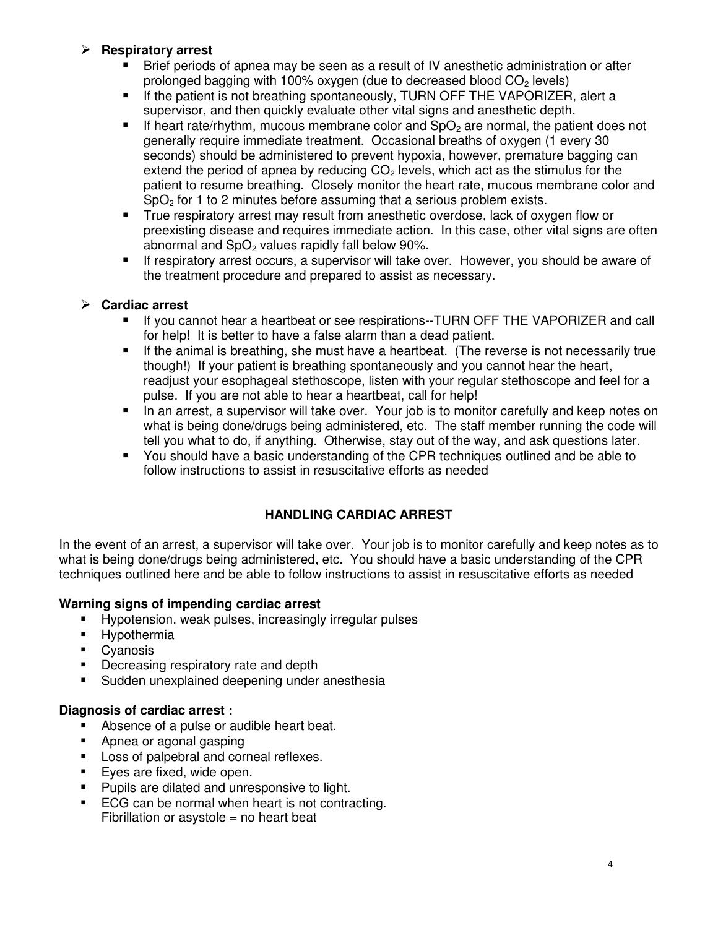## **Respiratory arrest**

- - Brief periods of apnea may be seen as a result of IV anesthetic administration or after prolonged bagging with 100% oxygen (due to decreased blood  $CO<sub>2</sub>$  levels)
- - If the patient is not breathing spontaneously, TURN OFF THE VAPORIZER, alert a supervisor, and then quickly evaluate other vital signs and anesthetic depth.
- -If heart rate/rhythm, mucous membrane color and  $SpO<sub>2</sub>$  are normal, the patient does not generally require immediate treatment. Occasional breaths of oxygen (1 every 30 seconds) should be administered to prevent hypoxia, however, premature bagging can extend the period of apnea by reducing  $CO<sub>2</sub>$  levels, which act as the stimulus for the patient to resume breathing. Closely monitor the heart rate, mucous membrane color and  $SpO<sub>2</sub>$  for 1 to 2 minutes before assuming that a serious problem exists.
- - True respiratory arrest may result from anesthetic overdose, lack of oxygen flow or preexisting disease and requires immediate action. In this case, other vital signs are often abnormal and  $SpO<sub>2</sub>$  values rapidly fall below 90%.
- - If respiratory arrest occurs, a supervisor will take over. However, you should be aware of the treatment procedure and prepared to assist as necessary.

## **Cardiac arrest**

- - If you cannot hear a heartbeat or see respirations--TURN OFF THE VAPORIZER and call for help! It is better to have a false alarm than a dead patient.
- - If the animal is breathing, she must have a heartbeat. (The reverse is not necessarily true though!) If your patient is breathing spontaneously and you cannot hear the heart, readjust your esophageal stethoscope, listen with your regular stethoscope and feel for a pulse. If you are not able to hear a heartbeat, call for help!
- - In an arrest, a supervisor will take over. Your job is to monitor carefully and keep notes on what is being done/drugs being administered, etc. The staff member running the code will tell you what to do, if anything. Otherwise, stay out of the way, and ask questions later.
- - You should have a basic understanding of the CPR techniques outlined and be able to follow instructions to assist in resuscitative efforts as needed

# **HANDLING CARDIAC ARREST**

In the event of an arrest, a supervisor will take over. Your job is to monitor carefully and keep notes as to what is being done/drugs being administered, etc. You should have a basic understanding of the CPR techniques outlined here and be able to follow instructions to assist in resuscitative efforts as needed

## **Warning signs of impending cardiac arrest**

- -Hypotension, weak pulses, increasingly irregular pulses
- -Hypothermia
- -Cyanosis
- -Decreasing respiratory rate and depth
- -Sudden unexplained deepening under anesthesia

# **Diagnosis of cardiac arrest :**

- -Absence of a pulse or audible heart beat.
- -Apnea or agonal gasping
- -Loss of palpebral and corneal reflexes.
- -Eyes are fixed, wide open.
- -Pupils are dilated and unresponsive to light.
- - ECG can be normal when heart is not contracting. Fibrillation or asystole  $=$  no heart beat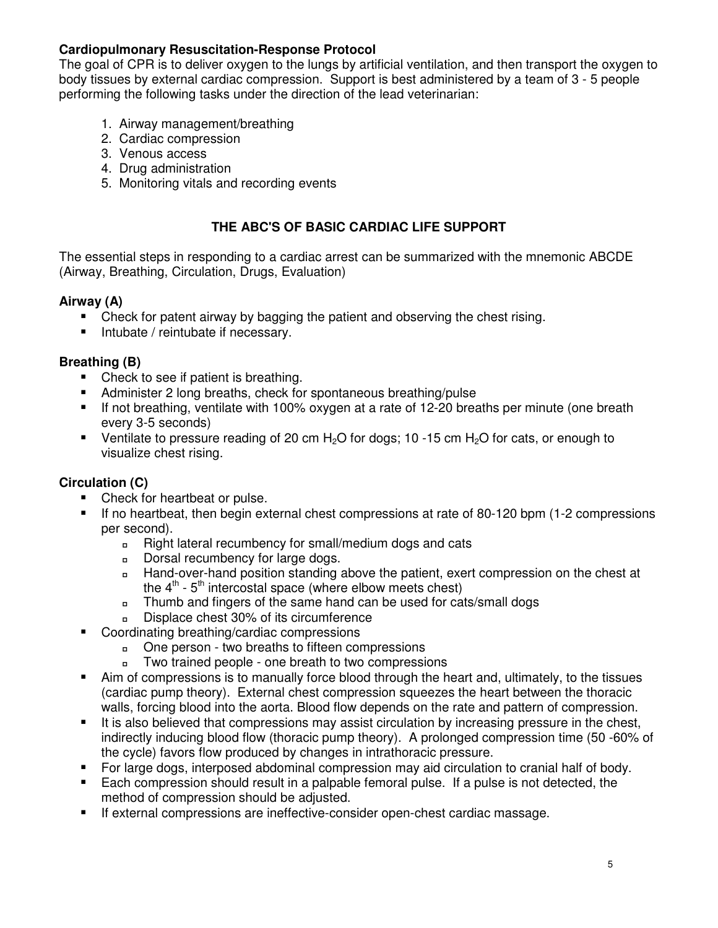## **Cardiopulmonary Resuscitation-Response Protocol**

The goal of CPR is to deliver oxygen to the lungs by artificial ventilation, and then transport the oxygen to body tissues by external cardiac compression. Support is best administered by a team of 3 - 5 people performing the following tasks under the direction of the lead veterinarian:

- 1. Airway management/breathing
- 2. Cardiac compression
- 3. Venous access
- 4. Drug administration
- 5. Monitoring vitals and recording events

## **THE ABC'S OF BASIC CARDIAC LIFE SUPPORT**

The essential steps in responding to a cardiac arrest can be summarized with the mnemonic ABCDE (Airway, Breathing, Circulation, Drugs, Evaluation)

## **Airway (A)**

- -Check for patent airway by bagging the patient and observing the chest rising.
- $\blacksquare$ Intubate / reintubate if necessary.

## **Breathing (B)**

- -Check to see if patient is breathing.
- -Administer 2 long breaths, check for spontaneous breathing/pulse
- If not breathing, ventilate with 100% oxygen at a rate of 12-20 breaths per minute (one breath every 3-5 seconds)
- $\blacksquare$  Ventilate to pressure reading of 20 cm H<sub>2</sub>O for dogs; 10 -15 cm H<sub>2</sub>O for cats, or enough to visualize chest rising.

## **Circulation (C)**

- -Check for heartbeat or pulse.
- - If no heartbeat, then begin external chest compressions at rate of 80-120 bpm (1-2 compressions per second).
	- Right lateral recumbency for small/medium dogs and cats
	- Dorsal recumbency for large dogs.
	- Hand-over-hand position standing above the patient, exert compression on the chest at the  $4<sup>th</sup>$  -  $5<sup>th</sup>$  intercostal space (where elbow meets chest)
	- Thumb and fingers of the same hand can be used for cats/small dogs
	- Displace chest 30% of its circumference
- - Coordinating breathing/cardiac compressions
	- One person two breaths to fifteen compressions
	- Two trained people one breath to two compressions
- - Aim of compressions is to manually force blood through the heart and, ultimately, to the tissues (cardiac pump theory). External chest compression squeezes the heart between the thoracic walls, forcing blood into the aorta. Blood flow depends on the rate and pattern of compression.
- - It is also believed that compressions may assist circulation by increasing pressure in the chest, indirectly inducing blood flow (thoracic pump theory). A prolonged compression time (50 -60% of the cycle) favors flow produced by changes in intrathoracic pressure.
- -For large dogs, interposed abdominal compression may aid circulation to cranial half of body.
- - Each compression should result in a palpable femoral pulse. If a pulse is not detected, the method of compression should be adjusted.
- -If external compressions are ineffective-consider open-chest cardiac massage.